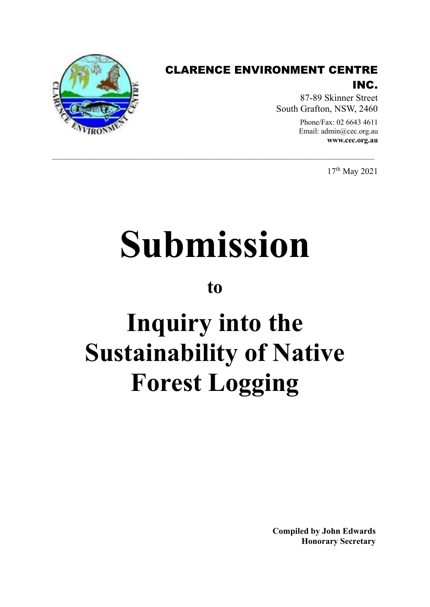

### CLARENCE ENVIRONMENT CENTRE INC.

87-89 Skinner Street South Grafton, NSW, 2460

> Phone/Fax: 02 6643 4611 Email: admin@cec.org.au **www.cec.org.au**

> > 17th May 2021

# **Submission**

 $\_$  , and the state of the state of the state of the state of the state of the state of the state of the state of the state of the state of the state of the state of the state of the state of the state of the state of the

**to**

## **Inquiry into the Sustainability of Native Forest Logging**

**Compiled by John Edwards Honorary Secretary**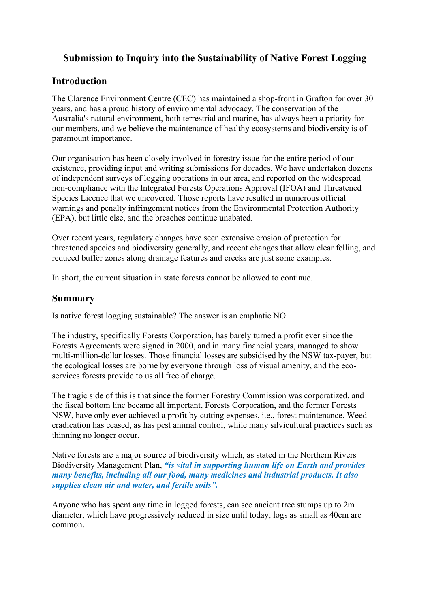#### **Submission to Inquiry into the Sustainability of Native Forest Logging**

#### **Introduction**

The Clarence Environment Centre (CEC) has maintained a shop-front in Grafton for over 30 years, and has a proud history of environmental advocacy. The conservation of the Australia's natural environment, both terrestrial and marine, has always been a priority for our members, and we believe the maintenance of healthy ecosystems and biodiversity is of paramount importance.

Our organisation has been closely involved in forestry issue for the entire period of our existence, providing input and writing submissions for decades. We have undertaken dozens of independent surveys of logging operations in our area, and reported on the widespread non-compliance with the Integrated Forests Operations Approval (IFOA) and Threatened Species Licence that we uncovered. Those reports have resulted in numerous official warnings and penalty infringement notices from the Environmental Protection Authority (EPA), but little else, and the breaches continue unabated.

Over recent years, regulatory changes have seen extensive erosion of protection for threatened species and biodiversity generally, and recent changes that allow clear felling, and reduced buffer zones along drainage features and creeks are just some examples.

In short, the current situation in state forests cannot be allowed to continue.

#### **Summary**

Is native forest logging sustainable? The answer is an emphatic NO.

The industry, specifically Forests Corporation, has barely turned a profit ever since the Forests Agreements were signed in 2000, and in many financial years, managed to show multi-million-dollar losses. Those financial losses are subsidised by the NSW tax-payer, but the ecological losses are borne by everyone through loss of visual amenity, and the ecoservices forests provide to us all free of charge.

The tragic side of this is that since the former Forestry Commission was corporatized, and the fiscal bottom line became all important, Forests Corporation, and the former Forests NSW, have only ever achieved a profit by cutting expenses, i.e., forest maintenance. Weed eradication has ceased, as has pest animal control, while many silvicultural practices such as thinning no longer occur.

Native forests are a major source of biodiversity which, as stated in the Northern Rivers Biodiversity Management Plan, *"is vital in supporting human life on Earth and provides many benefits, including all our food, many medicines and industrial products. It also supplies clean air and water, and fertile soils".*

Anyone who has spent any time in logged forests, can see ancient tree stumps up to 2m diameter, which have progressively reduced in size until today, logs as small as 40cm are common.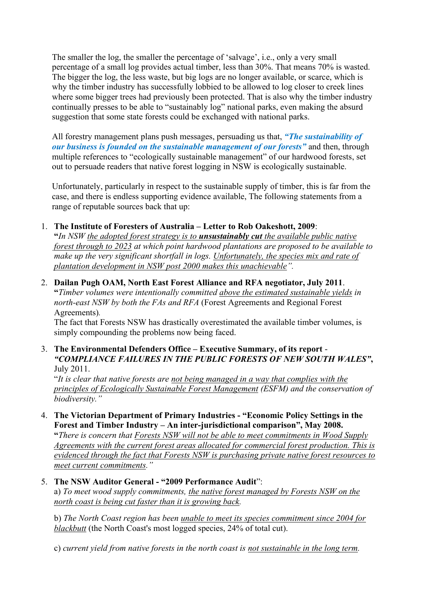The smaller the log, the smaller the percentage of 'salvage', i.e., only a very small percentage of a small log provides actual timber, less than 30%. That means 70% is wasted. The bigger the log, the less waste, but big logs are no longer available, or scarce, which is why the timber industry has successfully lobbied to be allowed to log closer to creek lines where some bigger trees had previously been protected. That is also why the timber industry continually presses to be able to "sustainably log" national parks, even making the absurd suggestion that some state forests could be exchanged with national parks.

All forestry management plans push messages, persuading us that, *"The sustainability of our business is founded on the sustainable management of our forests"* and then, through multiple references to "ecologically sustainable management" of our hardwood forests, set out to persuade readers that native forest logging in NSW is ecologically sustainable.

Unfortunately, particularly in respect to the sustainable supply of timber, this is far from the case, and there is endless supporting evidence available, The following statements from a range of reputable sources back that up:

#### 1. **The Institute of Foresters of Australia – Letter to Rob Oakeshott, 2009**:

**"***In NSW the adopted forest strategy is to unsustainably cut the available public native forest through to 2023 at which point hardwood plantations are proposed to be available to make up the very significant shortfall in logs. Unfortunately, the species mix and rate of plantation development in NSW post 2000 makes this unachievable".*

2. **Dailan Pugh OAM, North East Forest Alliance and RFA negotiator, July 2011**. **"***Timber volumes were intentionally committed above the estimated sustainable yields in north-east NSW by both the FAs and RFA* (Forest Agreements and Regional Forest Agreements)*.* 

The fact that Forests NSW has drastically overestimated the available timber volumes, is simply compounding the problems now being faced.

3. **The Environmental Defenders Office – Executive Summary, of its report** - *"COMPLIANCE FAILURES IN THE PUBLIC FORESTS OF NEW SOUTH WALES"***,**  July 2011.

"*It is clear that native forests are not being managed in a way that complies with the principles of Ecologically Sustainable Forest Management (ESFM) and the conservation of biodiversity."*

4. **The Victorian Department of Primary Industries - "Economic Policy Settings in the Forest and Timber Industry – An inter-jurisdictional comparison", May 2008.**

**"***There is concern that Forests NSW will not be able to meet commitments in Wood Supply Agreements with the current forest areas allocated for commercial forest production. This is evidenced through the fact that Forests NSW is purchasing private native forest resources to meet current commitments."*

#### 5. **The NSW Auditor General - "2009 Performance Audit**": a) *To meet wood supply commitments, the native forest managed by Forests NSW on the north coast is being cut faster than it is growing back.*

b) *The North Coast region has been unable to meet its species commitment since 2004 for blackbutt* (the North Coast's most logged species, 24% of total cut).

c) *current yield from native forests in the north coast is not sustainable in the long term.*